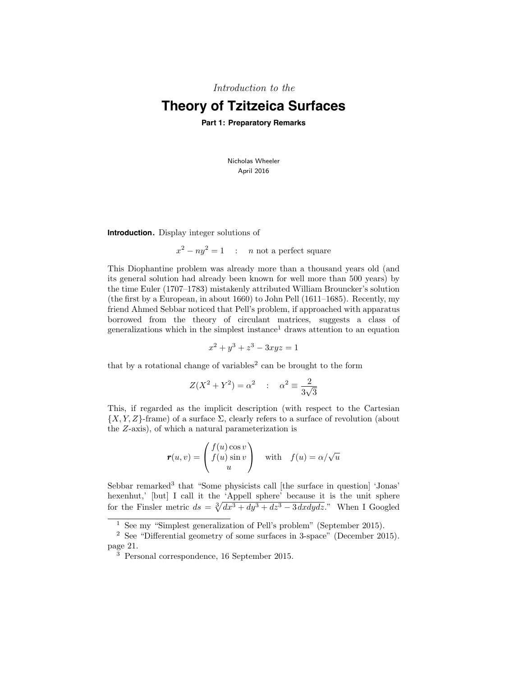Introduction to the

# **Theory of Tzitzeica Surfaces**

**Part 1: Preparatory Remarks**

Nicholas Wheeler April 2016

**Introduction.** Display integer solutions of

 $x^2 - ny^2 = 1$  : n not a perfect square

This Diophantine problem was already more than a thousand years old (and its general solution had already been known for well more than 500 years) by the time Euler (1707–1783) mistakenly attributed William Brouncker's solution (the first by a European, in about 1660) to John Pell (1611–1685). Recently, my friend Ahmed Sebbar noticed that Pell's problem, if approached with apparatus borrowed from the theory of circulant matrices, suggests a class of generalizations which in the simplest instance<sup>1</sup> draws attention to an equation

$$
x^2 + y^3 + z^3 - 3xyz = 1
$$

that by a rotational change of variables<sup>2</sup> can be brought to the form

$$
Z(X^2 + Y^2) = \alpha^2 \quad : \quad \alpha^2 \equiv \frac{2}{3\sqrt{3}}
$$

This, if regarded as the implicit description (with respect to the Cartesian  $\{X, Y, Z\}$ -frame) of a surface  $\Sigma$ , clearly refers to a surface of revolution (about the Z-axis), of which a natural parameterization is

$$
\mathbf{r}(u,v) = \begin{pmatrix} f(u)\cos v \\ f(u)\sin v \\ u \end{pmatrix} \quad \text{with} \quad f(u) = \alpha/\sqrt{u}
$$

Sebbar remarked<sup>3</sup> that "Some physicists call [the surface in question] 'Jonas' hexenhut,' [but] I call it the 'Appell sphere' because it is the unit sphere for the Finsler metric  $ds = \sqrt[3]{dx^3 + dy^3 + dz^3 - 3 dx dy dz}$ ." When I Googled

<sup>&</sup>lt;sup>1</sup> See my "Simplest generalization of Pell's problem" (September 2015).

<sup>2</sup> See "Differential geometry of some surfaces in 3-space" (December 2015). page 21.

 $\frac{3}{3}$  Personal correspondence, 16 September 2015.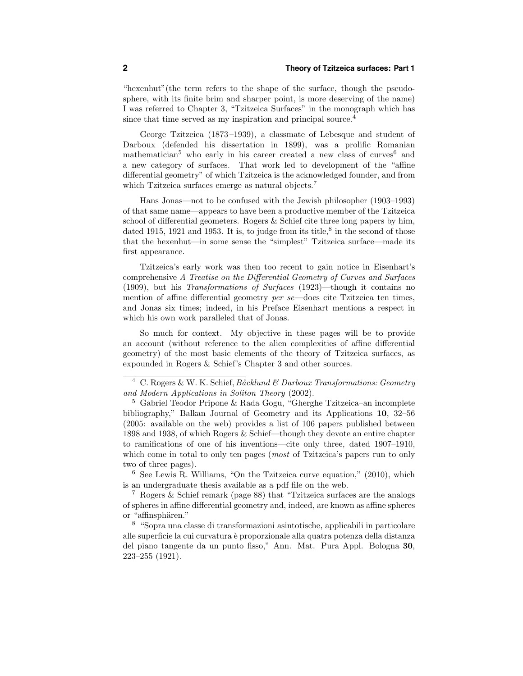"hexenhut"(the term refers to the shape of the surface, though the pseudosphere, with its finite brim and sharper point, is more deserving of the name) I was referred to Chapter 3, "Tzitzeica Surfaces" in the monograph which has since that time served as my inspiration and principal source.<sup>4</sup>

George Tzitzeica (1873 –1939), a classmate of Lebesque and student of Darboux (defended his dissertation in 1899), was a prolific Romanian mathematician<sup>5</sup> who early in his career created a new class of curves<sup>6</sup> and a new category of surfaces. That work led to development of the "affine differential geometry" of which Tzitzeica is the acknowledged founder, and from which Tzitzeica surfaces emerge as natural objects.<sup>7</sup>

Hans Jonas—not to be confused with the Jewish philosopher (1903–1993) of that same name—appears to have been a productive member of the Tzitzeica school of differential geometers. Rogers & Schief cite three long papers by him, dated 1915, 1921 and 1953. It is, to judge from its title,<sup>8</sup> in the second of those that the hexenhut—in some sense the "simplest" Tzitzeica surface—made its first appearance.

Tzitzeica's early work was then too recent to gain notice in Eisenhart's comprehensive A Treatise on the Differential Geometry of Curves and Surfaces (1909), but his Transformations of Surfaces (1923)—though it contains no mention of affine differential geometry per se—does cite Tzitzeica ten times, and Jonas six times; indeed, in his Preface Eisenhart mentions a respect in which his own work paralleled that of Jonas.

So much for context. My objective in these pages will be to provide an account (without reference to the alien complexities of affine differential geometry) of the most basic elements of the theory of Tzitzeica surfaces, as expounded in Rogers & Schief's Chapter 3 and other sources.

<sup>&</sup>lt;sup>4</sup> C. Rogers & W. K. Schief, Bäcklund & Darboux Transformations: Geometry and Modern Applications in Soliton Theory (2002).

<sup>5</sup> Gabriel Teodor Pripone & Rada Gogu, "Gherghe Tzitzeica–an incomplete bibliography," Balkan Journal of Geometry and its Applications 10, 32–56 (2005: available on the web) provides a list of 106 papers published between 1898 and 1938, of which Rogers & Schief—though they devote an entire chapter to ramifications of one of his inventions—cite only three, dated 1907–1910, which come in total to only ten pages (*most* of Tzitzeica's papers run to only two of three pages).

<sup>6</sup> See Lewis R. Williams, "On the Tzitzeica curve equation," (2010), which is an undergraduate thesis available as a pdf file on the web.

<sup>7</sup> Rogers & Schief remark (page 88) that "Tzitzeica surfaces are the analogs of spheres in affine differential geometry and, indeed, are known as affine spheres or "affinsphären."

<sup>8</sup> "Sopra una classe di transformazioni asintotische, applicabili in particolare alle superficie la cui curvatura è proporzionale alla quatra potenza della distanza del piano tangente da un punto fisso," Ann. Mat. Pura Appl. Bologna 30, 223–255 (1921).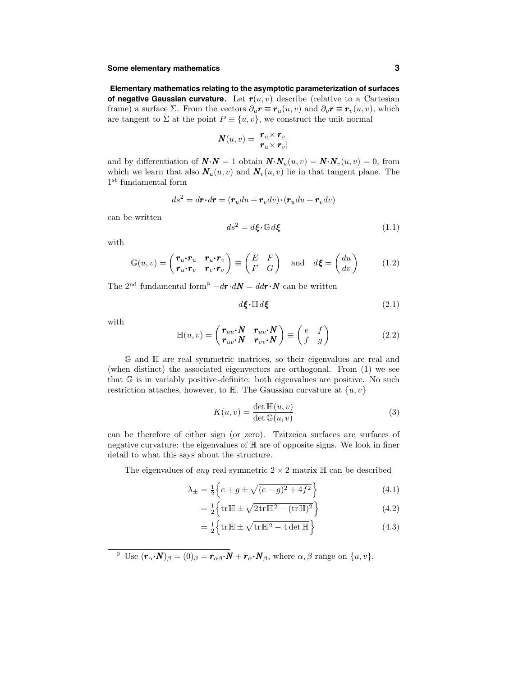# **Some elementary mathematics 3**

**Elementary mathematics relating to the asymptotic parameterization of surfaces of negative Gaussian curvature.** Let  $r(u, v)$  describe (relative to a Cartesian frame) a surface  $\Sigma$ . From the vectors  $\partial_u \mathbf{r} \equiv \mathbf{r}_u(u, v)$  and  $\partial_v \mathbf{r} \equiv \mathbf{r}_v(u, v)$ , which are tangent to  $\Sigma$  at the point  $P \equiv \{u, v\}$ , we construct the unit normal

$$
\mathbf{N}(u,v) = \frac{\mathbf{r}_u \times \mathbf{r}_v}{|\mathbf{r}_u \times \mathbf{r}_v|}
$$

and by differentiation of  $\mathbf{N} \cdot \mathbf{N} = 1$  obtain  $\mathbf{N} \cdot \mathbf{N}_u(u, v) = \mathbf{N} \cdot \mathbf{N}_v(u, v) = 0$ , from which we learn that also  $\mathbf{N}_u(u, v)$  and  $\mathbf{N}_v(u, v)$  lie in that tangent plane. The 1st fundamental form

$$
ds^2 = d\mathbf{r} \cdot d\mathbf{r} = (\mathbf{r}_u du + \mathbf{r}_v dv) \cdot (\mathbf{r}_u du + \mathbf{r}_v dv)
$$

can be written

$$
ds^2 = d\boldsymbol{\xi} \cdot \mathbb{G} d\boldsymbol{\xi}
$$
 (1.1)

with

$$
\mathbb{G}(u,v) = \begin{pmatrix} \mathbf{r}_u \cdot \mathbf{r}_u & \mathbf{r}_u \cdot \mathbf{r}_v \\ \mathbf{r}_u \cdot \mathbf{r}_v & \mathbf{r}_v \cdot \mathbf{r}_v \end{pmatrix} \equiv \begin{pmatrix} E & F \\ F & G \end{pmatrix} \text{ and } d\boldsymbol{\xi} = \begin{pmatrix} du \\ dv \end{pmatrix} \tag{1.2}
$$

The 2<sup>nd</sup> fundamental form<sup>9</sup>  $-d\mathbf{r} \cdot d\mathbf{N} = dd\mathbf{r} \cdot \mathbf{N}$  can be written

$$
d\boldsymbol{\xi} \cdot \mathbb{H} d\boldsymbol{\xi} \tag{2.1}
$$

with

$$
\mathbb{H}(u,v) = \begin{pmatrix} \mathbf{r}_{uu} \cdot \mathbf{N} & \mathbf{r}_{uv} \cdot \mathbf{N} \\ \mathbf{r}_{uv} \cdot \mathbf{N} & \mathbf{r}_{vv} \cdot \mathbf{N} \end{pmatrix} \equiv \begin{pmatrix} e & f \\ f & g \end{pmatrix}
$$
(2.2)

G and H are real symmetric matrices, so their eigenvalues are real and (when distinct) the associated eigenvectors are orthogonal. From (1) we see that G is in variably positive-definite: both eigenvalues are positive. No such restriction attaches, however, to  $\mathbb{H}$ . The Gaussian curvature at  $\{u, v\}$ 

$$
K(u, v) = \frac{\det \mathbb{H}(u, v)}{\det \mathbb{G}(u, v)}
$$
(3)

can be therefore of either sign (or zero). Tzitzeica surfaces are surfaces of negative curvature: the eigenvalues of H are of opposite signs. We look in finer detail to what this says about the structure.

The eigenvalues of *any* real symmetric  $2 \times 2$  matrix  $\mathbb{H}$  can be described

$$
\lambda_{\pm} = \frac{1}{2} \left\{ e + g \pm \sqrt{(e - g)^2 + 4f^2} \right\} \tag{4.1}
$$

$$
= \frac{1}{2} \left\{ \text{tr} \mathbb{H} \pm \sqrt{2 \text{tr} \mathbb{H}^2 - (\text{tr} \mathbb{H})^2} \right\} \tag{4.2}
$$

$$
= \frac{1}{2} \left\{ \text{tr} \mathbb{H} \pm \sqrt{\text{tr} \mathbb{H}^2 - 4 \det \mathbb{H}} \right\} \tag{4.3}
$$

<sup>9</sup> Use  $(\mathbf{r}_{\alpha} \cdot \mathbf{N})_{\beta} = (0)_{\beta} = \mathbf{r}_{\alpha\beta} \cdot \mathbf{N} + \mathbf{r}_{\alpha} \cdot \mathbf{N}_{\beta}$ , where  $\alpha, \beta$  range on  $\{u, v\}$ .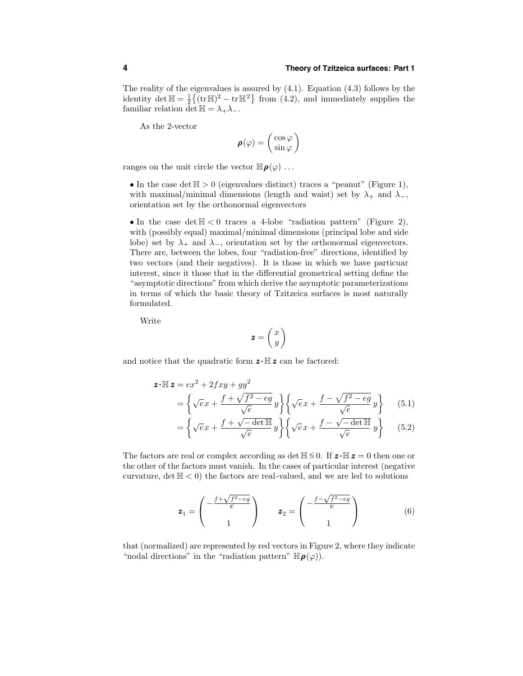The reality of the eigenvalues is assured by  $(4.1)$ . Equation  $(4.3)$  follows by the identity det  $\mathbb{H} = \frac{1}{2} \{ (\text{tr} \mathbb{H})^2 - \text{tr} \mathbb{H}^2 \}$  from (4.2), and immediately supplies the familiar relation det  $\mathbb{H} = \lambda_+ \lambda_-$ .

As the 2-vector

$$
\pmb{\rho}(\varphi) = \left(\begin{smallmatrix} \cos \varphi \\ \sin \varphi \end{smallmatrix}\right)
$$

ranges on the unit circle the vector  $\mathbb{H}_{\rho}(\varphi)$ ...

• In the case det  $\mathbb{H} > 0$  (eigenvalues distinct) traces a "peanut" (Figure 1), with maximal/minimal dimensions (length and waist) set by  $\lambda_+$  and  $\lambda_-$ , orientation set by the orthonormal eigenvectors

• In the case det  $\mathbb{H} \leq 0$  traces a 4-lobe "radiation pattern" (Figure 2), with (possibly equal) maximal/minimal dimensions (principal lobe and side lobe) set by  $\lambda_+$  and  $\lambda_-$ , orientation set by the orthonormal eigenvectors. There are, between the lobes, four "radiation-free" directions, identified by two vectors (and their negatives). It is those in which we have particuar interest, since it those that in the differential geometrical setting define the "asymptotic directions" from which derive the asymptotic parameterizations in terms of which the basic theory of Tzitzeica surfaces is most naturally formulated.

Write

$$
\pmb{z} = \left(\begin{matrix} x \\ y \end{matrix}\right)
$$

and notice that the quadratic form  $\mathbf{z} \cdot \mathbb{H} \mathbf{z}$  can be factored:

$$
\mathbf{z} \cdot \mathbb{H} \mathbf{z} = ex^2 + 2fxy + gy^2
$$
  
= 
$$
\left\{ \sqrt{e}x + \frac{f + \sqrt{f^2 - eg}}{\sqrt{e}}y \right\} \left\{ \sqrt{e}x + \frac{f - \sqrt{f^2 - eg}}{\sqrt{e}}y \right\}
$$
 (5.1)

$$
= \left\{ \sqrt{e}x + \frac{f + \sqrt{-\det \mathbb{H}}}{\sqrt{e}}y \right\} \left\{ \sqrt{e}x + \frac{f - \sqrt{-\det \mathbb{H}}}{\sqrt{e}}y \right\} \tag{5.2}
$$

The factors are real or complex according as det  $\mathbb{H} \lessgtr 0$ . If  $\mathbf{z} \cdot \mathbb{H} \mathbf{z} = 0$  then one or the other of the factors must vanish. In the cases of particular interest (negative curvature, det  $H < 0$ ) the factors are real-valued, and we are led to solutions

$$
\boldsymbol{z}_1 = \begin{pmatrix} -\frac{f + \sqrt{f^2 - eg}}{e} \\ 1 \end{pmatrix} \qquad \boldsymbol{z}_2 = \begin{pmatrix} -\frac{f - \sqrt{f^2 - eg}}{e} \\ 1 \end{pmatrix} \tag{6}
$$

that (normalized) are represented by red vectors in Figure 2, where they indicate "nodal directions" in the "radiation pattern"  $\mathbb{H}_{\boldsymbol{\rho}}(\varphi)$ ).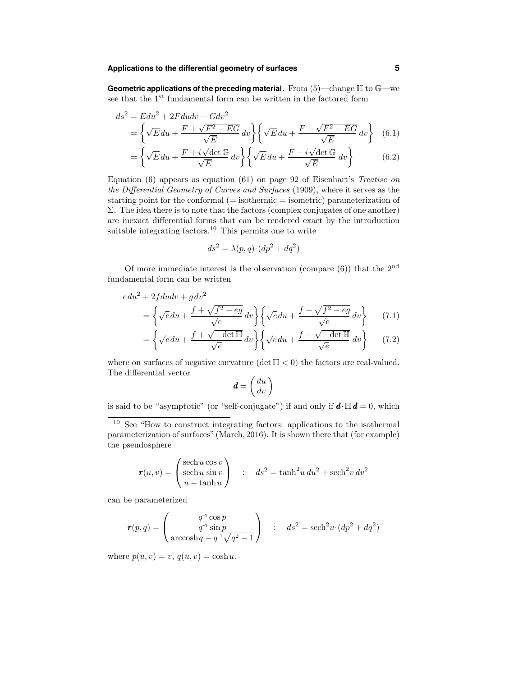**Geometric applications of the preceding material.** From (5)—change H to G—we see that the  $1^\mathrm{st}$  fundamental form can be written in the factored form

$$
ds^{2} = Edu^{2} + 2Fdudv + Gdv^{2}
$$
  
=  $\left\{\sqrt{E}du + \frac{F + \sqrt{F^{2} - EG}}{\sqrt{E}}dv\right\} \left\{\sqrt{E}du + \frac{F - \sqrt{F^{2} - EG}}{\sqrt{E}}dv\right\}$  (6.1)  
 $\left(-E + i\sqrt{det G} - \int_{C} - E - i\sqrt{det G}d\sqrt{E}\right)$ 

$$
= \left\{ \sqrt{E} du + \frac{F + i\sqrt{\det \mathbb{G}}}{\sqrt{E}} dv \right\} \left\{ \sqrt{E} du + \frac{F - i\sqrt{\det \mathbb{G}}}{\sqrt{E}} dv \right\}
$$
(6.2)

Equation (6) appears as equation (61) on page 92 of Eisenhart's Treatise on the Differential Geometry of Curves and Surfaces (1909), where it serves as the starting point for the conformal (= isothermic = isometric) parameterization of  $\Sigma$ . The idea there is to note that the factors (complex conjugates of one another) are inexact differential forms that can be rendered exact by the introduction suitable integrating factors.<sup>10</sup> This permits one to write

$$
ds^2 = \lambda(p, q) \cdot (dp^2 + dq^2)
$$

Of more immediate interest is the observation (compare  $(6)$ ) that the  $2<sup>nd</sup>$ fundamental form can be written

$$
edu^{2} + 2fdudv + g dv^{2}
$$
\n
$$
= \left\{ \sqrt{e} du + \frac{f + \sqrt{f^{2} - eg}}{\sqrt{e}} dv \right\} \left\{ \sqrt{e} du + \frac{f - \sqrt{f^{2} - eg}}{\sqrt{e}} dv \right\}
$$
\n
$$
= \left\{ \sqrt{e} du + \frac{f + \sqrt{-\det \mathbb{H}}}{\sqrt{e}} dv \right\} \left\{ \sqrt{e} du + \frac{f - \sqrt{-\det \mathbb{H}}}{\sqrt{e}} dv \right\}
$$
\n(7.1)\n(7.2)

where on surfaces of negative curvature (det  $H < 0$ ) the factors are real-valued. The differential vector

$$
\boldsymbol{d} = \left(\begin{array}{c} du \\ dv \end{array}\right)
$$

is said to be "asymptotic" (or "self-conjugate") if and only if  $\mathbf{d} \cdot \mathbb{H} \mathbf{d} = 0$ , which

<sup>10</sup> See "How to construct integrating factors: applications to the isothermal parameterization of surfaces"(March, 2016). It is shown there that (for example) the pseudosphere

$$
\mathbf{r}(u,v) = \begin{pmatrix} \operatorname{sech} u \cos v \\ \operatorname{sech} u \sin v \\ u - \tanh u \end{pmatrix} : ds^2 = \tanh^2 u \, du^2 + \operatorname{sech}^2 v \, dv^2
$$

can be parameterized

$$
\mathbf{r}(p,q) = \begin{pmatrix} q^{-1}\cos p \\ q^{-1}\sin p \\ \arccosh q - q^{-1}\sqrt{q^2 - 1} \end{pmatrix} \quad : \quad ds^2 = \mathrm{sech}^2 u \cdot (dp^2 + dq^2)
$$

where  $p(u, v) = v$ ,  $q(u, v) = \cosh u$ .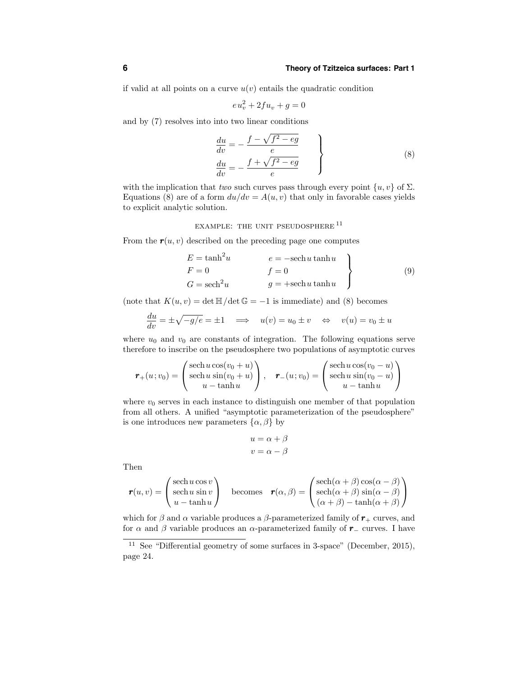if valid at all points on a curve  $u(v)$  entails the quadratic condition

$$
eu_v^2 + 2fu_v + g = 0
$$

and by (7) resolves into into two linear conditions

$$
\begin{cases}\n\frac{du}{dv} = -\frac{f - \sqrt{f^2 - eg}}{e} \\
\frac{du}{dv} = -\frac{f + \sqrt{f^2 - eg}}{e}\n\end{cases}
$$
\n(8)

with the implication that two such curves pass through every point  $\{u, v\}$  of  $\Sigma$ . Equations (8) are of a form  $du/dv = A(u, v)$  that only in favorable cases yields to explicit analytic solution.

EXAMPLE: THE UNIT PSEUDOSPHERE <sup>11</sup>

From the  $r(u, v)$  described on the preceding page one computes

$$
E = \tanh^{2} u \qquad e = -\operatorname{sech} u \tanh u
$$
  
\n
$$
F = 0 \qquad f = 0
$$
  
\n
$$
G = \operatorname{sech}^{2} u \qquad g = +\operatorname{sech} u \tanh u
$$
\n(9)

(note that  $K(u, v) = \det \mathbb{H}/\det \mathbb{G} = -1$  is immediate) and (8) becomes

$$
\frac{du}{dv} = \pm \sqrt{-g/e} = \pm 1 \quad \implies \quad u(v) = u_0 \pm v \quad \Leftrightarrow \quad v(u) = v_0 \pm u
$$

where  $u_0$  and  $v_0$  are constants of integration. The following equations serve therefore to inscribe on the pseudosphere two populations of asymptotic curves

$$
\mathbf{r}_{+}(u;v_{0}) = \begin{pmatrix} \operatorname{sech} u \cos(v_{0} + u) \\ \operatorname{sech} u \sin(v_{0} + u) \\ u - \tanh u \end{pmatrix}, \quad \mathbf{r}_{-}(u;v_{0}) = \begin{pmatrix} \operatorname{sech} u \cos(v_{0} - u) \\ \operatorname{sech} u \sin(v_{0} - u) \\ u - \tanh u \end{pmatrix}
$$

where  $v_0$  serves in each instance to distinguish one member of that population from all others. A unified "asymptotic parameterization of the pseudosphere" is one introduces new parameters  $\{\alpha, \beta\}$  by

$$
u = \alpha + \beta
$$

$$
v = \alpha - \beta
$$

Then

$$
\mathbf{r}(u,v) = \begin{pmatrix} \text{sech}\,u\cos v \\ \text{sech}\,u\,\sin v \\ u - \tanh u \end{pmatrix} \quad \text{becomes} \quad \mathbf{r}(\alpha,\beta) = \begin{pmatrix} \text{sech}(\alpha+\beta)\cos(\alpha-\beta) \\ \text{sech}(\alpha+\beta)\sin(\alpha-\beta) \\ (\alpha+\beta)-\tanh(\alpha+\beta) \end{pmatrix}
$$

which for  $\beta$  and  $\alpha$  variable produces a  $\beta$ -parameterized family of  $r_{+}$  curves, and for  $\alpha$  and  $\beta$  variable produces an  $\alpha$ -parameterized family of  $r_$  curves. I have

<sup>&</sup>lt;sup>11</sup> See "Differential geometry of some surfaces in 3-space" (December, 2015). page 24.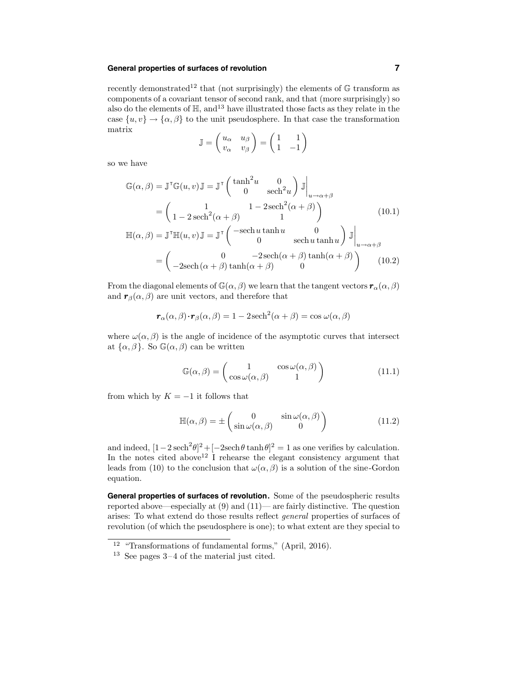recently demonstrated<sup>12</sup> that (not surprisingly) the elements of  $G$  transform as components of a covariant tensor of second rank, and that (more surprisingly) so also do the elements of  $\mathbb{H}$ , and  $13$  have illustrated those facts as they relate in the case  $\{u, v\} \rightarrow \{\alpha, \beta\}$  to the unit pseudosphere. In that case the transformation matrix

$$
\mathbb{J} = \begin{pmatrix} u_{\alpha} & u_{\beta} \\ v_{\alpha} & v_{\beta} \end{pmatrix} = \begin{pmatrix} 1 & 1 \\ 1 & -1 \end{pmatrix}
$$

so we have

$$
\mathbb{G}(\alpha,\beta) = \mathbb{J}^{\mathsf{T}}\mathbb{G}(u,v)\mathbb{J} = \mathbb{J}^{\mathsf{T}}\begin{pmatrix} \tanh^2 u & 0 \\ 0 & \operatorname{sech}^2 u \end{pmatrix} \mathbb{J}\Big|_{u \to \alpha + \beta}
$$

$$
= \begin{pmatrix} 1 & 1 - 2\operatorname{sech}^2(\alpha + \beta) \\ 1 - 2\operatorname{sech}^2(\alpha + \beta) & 1 \end{pmatrix} \tag{10.1}
$$

$$
\mathbb{H}(\alpha,\beta) = \mathbb{J}^{\mathsf{T}}\mathbb{H}(u,v)\mathbb{J} = \mathbb{J}^{\mathsf{T}}\begin{pmatrix} -\operatorname{sech}u\tanh u & 0 \\ 0 & \operatorname{sech}u\tanh u \end{pmatrix} \mathbb{J}\Big|_{u \to \alpha + \beta}
$$

$$
= \begin{pmatrix} 0 & -2\operatorname{sech}(\alpha + \beta)\tanh(\alpha + \beta) \\ -2\operatorname{sech}(\alpha + \beta)\tanh(\alpha + \beta) & 0 \end{pmatrix} \tag{10.2}
$$

From the diagonal elements of  $\mathbb{G}(\alpha,\beta)$  we learn that the tangent vectors  $\mathbf{r}_{\alpha}(\alpha,\beta)$ and  $\mathbf{r}_{\beta}(\alpha, \beta)$  are unit vectors, and therefore that

$$
\mathbf{r}_{\alpha}(\alpha,\beta)\cdot\mathbf{r}_{\beta}(\alpha,\beta) = 1 - 2\operatorname{sech}^{2}(\alpha+\beta) = \cos\omega(\alpha,\beta)
$$

where  $\omega(\alpha, \beta)$  is the angle of incidence of the asymptotic curves that intersect at  $\{\alpha, \beta\}$ . So  $\mathbb{G}(\alpha, \beta)$  can be written

$$
\mathbb{G}(\alpha,\beta) = \begin{pmatrix} 1 & \cos\omega(\alpha,\beta) \\ \cos\omega(\alpha,\beta) & 1 \end{pmatrix}
$$
 (11.1)

from which by  $K = -1$  it follows that

$$
\mathbb{H}(\alpha,\beta) = \pm \begin{pmatrix} 0 & \sin \omega(\alpha,\beta) \\ \sin \omega(\alpha,\beta) & 0 \end{pmatrix}
$$
 (11.2)

and indeed,  $[1-2 \operatorname{sech}^2 \theta]^2 + [-2 \operatorname{sech} \theta \tanh \theta]^2 = 1$  as one verifies by calculation. In the notes cited above<sup>12</sup> I rehearse the elegant consistency argument that leads from (10) to the conclusion that  $\omega(\alpha, \beta)$  is a solution of the sine-Gordon equation.

**General properties of surfaces of revolution.** Some of the pseudospheric results reported above—especially at (9) and (11)— are fairly distinctive. The question arises: To what extend do those results reflect general properties of surfaces of revolution (of which the pseudosphere is one); to what extent are they special to

<sup>12</sup> "Transformations of fundamental forms," (April, 2016).

<sup>13</sup> See pages 3–4 of the material just cited.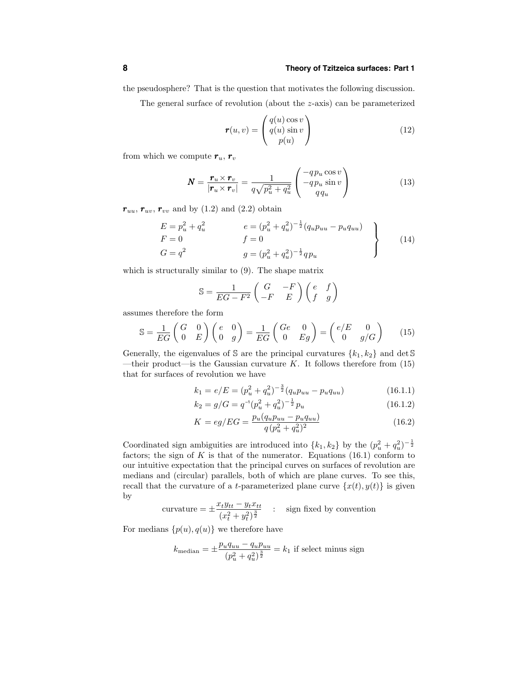the pseudosphere? That is the question that motivates the following discussion.

The general surface of revolution (about the z-axis) can be parameterized

$$
\mathbf{r}(u,v) = \begin{pmatrix} q(u)\cos v \\ q(u)\sin v \\ p(u) \end{pmatrix}
$$
 (12)

from which we compute  $r_u$ ,  $r_v$ 

$$
\boldsymbol{N} = \frac{\boldsymbol{r}_u \times \boldsymbol{r}_v}{|\boldsymbol{r}_u \times \boldsymbol{r}_v|} = \frac{1}{q\sqrt{p_u^2 + q_u^2}} \begin{pmatrix} -qp_u \cos v \\ -qp_u \sin v \\ qq_u \end{pmatrix}
$$
(13)

 $r_{uu}, r_{uv}, r_{vv}$  and by (1.2) and (2.2) obtain

$$
E = p_u^2 + q_u^2 \qquad e = (p_u^2 + q_u^2)^{-\frac{1}{2}} (q_u p_{uu} - p_u q_{uu})
$$
  
\n
$$
F = 0 \qquad f = 0
$$
  
\n
$$
G = q^2 \qquad g = (p_u^2 + q_u^2)^{-\frac{1}{2}} q p_u
$$
\n(14)

which is structurally similar to (9). The shape matrix

$$
\mathbb{S} = \frac{1}{EG - F^2} \begin{pmatrix} G & -F \\ -F & E \end{pmatrix} \begin{pmatrix} e & f \\ f & g \end{pmatrix}
$$

assumes therefore the form

$$
\mathbb{S} = \frac{1}{EG} \begin{pmatrix} G & 0 \\ 0 & E \end{pmatrix} \begin{pmatrix} e & 0 \\ 0 & g \end{pmatrix} = \frac{1}{EG} \begin{pmatrix} Ge & 0 \\ 0 & Eg \end{pmatrix} = \begin{pmatrix} e/E & 0 \\ 0 & g/G \end{pmatrix} \tag{15}
$$

Generally, the eigenvalues of S are the principal curvatures  $\{k_1, k_2\}$  and det S —their product—is the Gaussian curvature  $K$ . It follows therefore from (15) that for surfaces of revolution we have

$$
k_1 = e/E = (p_u^2 + q_u^2)^{-\frac{3}{2}} (q_u p_{uu} - p_u q_{uu})
$$
\n(16.1.1)

$$
k_2 = g/G = q^{-1}(p_u^2 + q_u^2)^{-\frac{1}{2}} p_u \tag{16.1.2}
$$

$$
K = eg/EG = \frac{p_u(q_u p_{uu} - p_u q_{uu})}{q(p_u^2 + q_u^2)^2}
$$
\n(16.2)

Coordinated sign ambiguities are introduced into  $\{k_1, k_2\}$  by the  $(p_u^2 + q_u^2)^{-\frac{1}{2}}$ factors; the sign of  $K$  is that of the numerator. Equations  $(16.1)$  conform to our intuitive expectation that the principal curves on surfaces of revolution are medians and (circular) parallels, both of which are plane curves. To see this, recall that the curvature of a t-parameterized plane curve  $\{x(t), y(t)\}\$ is given by

curvature = 
$$
\pm \frac{x_t y_{tt} - y_t x_{tt}}{(x_t^2 + y_t^2)^{\frac{3}{2}}}
$$
 : sign fixed by convention

For medians  $\{p(u), q(u)\}\$  we therefore have

$$
k_{\text{median}} = \pm \frac{p_u q_{uu} - q_u p_{uu}}{(p_u^2 + q_u^2)^{\frac{3}{2}}} = k_1 \text{ if select minus sign}
$$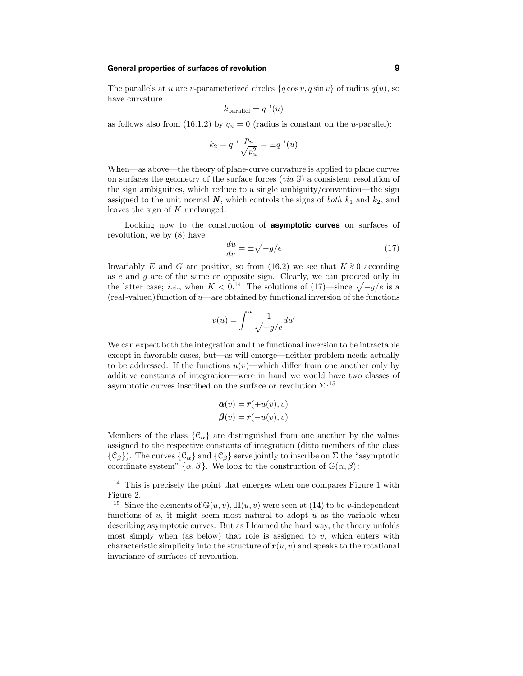The parallels at u are v-parameterized circles  $\{q \cos v, q \sin v\}$  of radius  $q(u)$ , so have curvature

$$
k_{\text{parallel}} = q^{-1}(u)
$$

as follows also from (16.1.2) by  $q_u = 0$  (radius is constant on the u-parallel):

$$
k_2 = q^{-1} \frac{p_u}{\sqrt{p_u^2}} = \pm q^{-1}(u)
$$

When—as above—the theory of plane-curve curvature is applied to plane curves on surfaces the geometry of the surface forces  $(via \, \mathbb{S})$  a consistent resolution of the sign ambiguities, which reduce to a single ambiguity/convention—the sign assigned to the unit normal  $N$ , which controls the signs of *both*  $k_1$  and  $k_2$ , and leaves the sign of K unchanged.

Looking now to the construction of **asymptotic curves** on surfaces of revolution, we by (8) have

$$
\frac{du}{dv} = \pm \sqrt{-g/e} \tag{17}
$$

Invariably E and G are positive, so from (16.2) we see that  $K \ge 0$  according as  $e$  and  $g$  are of the same or opposite sign. Clearly, we can proceed only in the latter case; *i.e.*, when  $K < 0.14$  The solutions of (17)—since  $\sqrt{-g/e}$  is a  $(\text{real-valued})$  function of  $u$ —are obtained by functional inversion of the functions

$$
v(u) = \int^u \frac{1}{\sqrt{-g/e}} du'
$$

We can expect both the integration and the functional inversion to be intractable except in favorable cases, but—as will emerge—neither problem needs actually to be addressed. If the functions  $u(v)$ —which differ from one another only by additive constants of integration—were in hand we would have two classes of asymptotic curves inscribed on the surface or revolution  $\Sigma$ :<sup>15</sup>

$$
\mathbf{\alpha}(v) = \mathbf{r}(+u(v), v)
$$

$$
\mathbf{\beta}(v) = \mathbf{r}(-u(v), v)
$$

Members of the class  $\{\mathcal{C}_{\alpha}\}\$ are distinguished from one another by the values assigned to the respective constants of integration (ditto members of the class  $\{\mathcal{C}_{\beta}\}\)$ . The curves  $\{\mathcal{C}_{\alpha}\}\)$  and  $\{\mathcal{C}_{\beta}\}\)$  serve jointly to inscribe on  $\Sigma$  the "asymptotic coordinate system"  $\{\alpha, \beta\}$ . We look to the construction of  $\mathbb{G}(\alpha, \beta)$ :

 $14$  This is precisely the point that emerges when one compares Figure 1 with Figure 2.

<sup>&</sup>lt;sup>15</sup> Since the elements of  $\mathbb{G}(u, v)$ ,  $\mathbb{H}(u, v)$  were seen at (14) to be *v*-independent functions of  $u$ , it might seem most natural to adopt  $u$  as the variable when describing asymptotic curves. But as I learned the hard way, the theory unfolds most simply when (as below) that role is assigned to  $v$ , which enters with characteristic simplicity into the structure of  $r(u, v)$  and speaks to the rotational invariance of surfaces of revolution.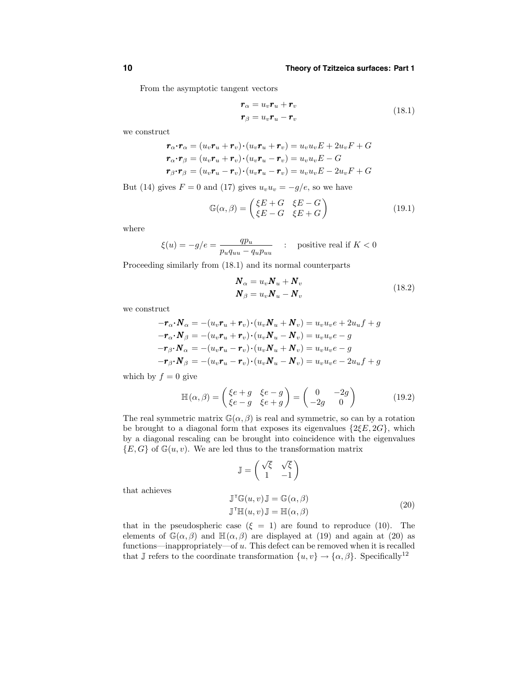From the asymptotic tangent vectors

$$
\mathbf{r}_{\alpha} = u_v \mathbf{r}_u + \mathbf{r}_v
$$
  
\n
$$
\mathbf{r}_{\beta} = u_v \mathbf{r}_u - \mathbf{r}_v
$$
\n(18.1)

we construct

$$
\mathbf{r}_{\alpha} \cdot \mathbf{r}_{\alpha} = (u_v \mathbf{r}_u + \mathbf{r}_v) \cdot (u_v \mathbf{r}_u + \mathbf{r}_v) = u_v u_v E + 2u_v F + G
$$
  
\n
$$
\mathbf{r}_{\alpha} \cdot \mathbf{r}_{\beta} = (u_v \mathbf{r}_u + \mathbf{r}_v) \cdot (u_v \mathbf{r}_u - \mathbf{r}_v) = u_v u_v E - G
$$
  
\n
$$
\mathbf{r}_{\beta} \cdot \mathbf{r}_{\beta} = (u_v \mathbf{r}_u - \mathbf{r}_v) \cdot (u_v \mathbf{r}_u - \mathbf{r}_v) = u_v u_v E - 2u_v F + G
$$

But (14) gives  $F = 0$  and (17) gives  $u_v u_v = -g/e$ , so we have

$$
\mathbb{G}(\alpha,\beta) = \begin{pmatrix} \xi E + G & \xi E - G \\ \xi E - G & \xi E + G \end{pmatrix}
$$
 (19.1)

where

$$
\xi(u) = -g/e = \frac{qp_u}{p_u q_{uu} - q_u p_{uu}} \quad : \quad \text{positive real if } K < 0
$$

Proceeding similarly from (18.1) and its normal counterparts

$$
\begin{aligned} \boldsymbol{N}_{\alpha} &= u_v \boldsymbol{N}_u + \boldsymbol{N}_v \\ \boldsymbol{N}_{\beta} &= u_v \boldsymbol{N}_u - \boldsymbol{N}_v \end{aligned} \tag{18.2}
$$

we construct

$$
-\mathbf{r}_{\alpha} \cdot \mathbf{N}_{\alpha} = -(u_v \mathbf{r}_u + \mathbf{r}_v) \cdot (u_v \mathbf{N}_u + \mathbf{N}_v) = u_v u_v e + 2u_u f + g
$$
  

$$
-\mathbf{r}_{\alpha} \cdot \mathbf{N}_{\beta} = -(u_v \mathbf{r}_u + \mathbf{r}_v) \cdot (u_v \mathbf{N}_u - \mathbf{N}_v) = u_v u_v e - g
$$
  

$$
-\mathbf{r}_{\beta} \cdot \mathbf{N}_{\alpha} = -(u_v \mathbf{r}_u - \mathbf{r}_v) \cdot (u_v \mathbf{N}_u + \mathbf{N}_v) = u_v u_v e - g
$$
  

$$
-\mathbf{r}_{\beta} \cdot \mathbf{N}_{\beta} = -(u_v \mathbf{r}_u - \mathbf{r}_v) \cdot (u_v \mathbf{N}_u - \mathbf{N}_v) = u_v u_v e - 2u_u f + g
$$

which by  $f = 0$  give

$$
\mathbb{H}(\alpha,\beta) = \begin{pmatrix} \xi e + g & \xi e - g \\ \xi e - g & \xi e + g \end{pmatrix} = \begin{pmatrix} 0 & -2g \\ -2g & 0 \end{pmatrix}
$$
 (19.2)

The real symmetric matrix  $\mathbb{G}(\alpha,\beta)$  is real and symmetric, so can by a rotation be brought to a diagonal form that exposes its eigenvalues  $\{2\xi E, 2G\}$ , which by a diagonal rescaling can be brought into coincidence with the eigenvalues  ${E, G}$  of  $\mathbb{G}(u, v)$ . We are led thus to the transformation matrix

$$
\mathbb{J} = \begin{pmatrix} \sqrt{\xi} & \sqrt{\xi} \\ 1 & -1 \end{pmatrix}
$$

that achieves

$$
\mathbb{J}^{\mathsf{T}}\mathbb{G}(u,v)\mathbb{J} = \mathbb{G}(\alpha,\beta)
$$
  

$$
\mathbb{J}^{\mathsf{T}}\mathbb{H}(u,v)\mathbb{J} = \mathbb{H}(\alpha,\beta)
$$
 (20)

that in the pseudospheric case  $(\xi = 1)$  are found to reproduce (10). The elements of  $\mathbb{G}(\alpha, \beta)$  and  $\mathbb{H}(\alpha, \beta)$  are displayed at (19) and again at (20) as functions—inappropriately—of u. This defect can be removed when it is recalled that J refers to the coordinate transformation  $\{u, v\} \rightarrow \{\alpha, \beta\}$ . Specifically<sup>12</sup>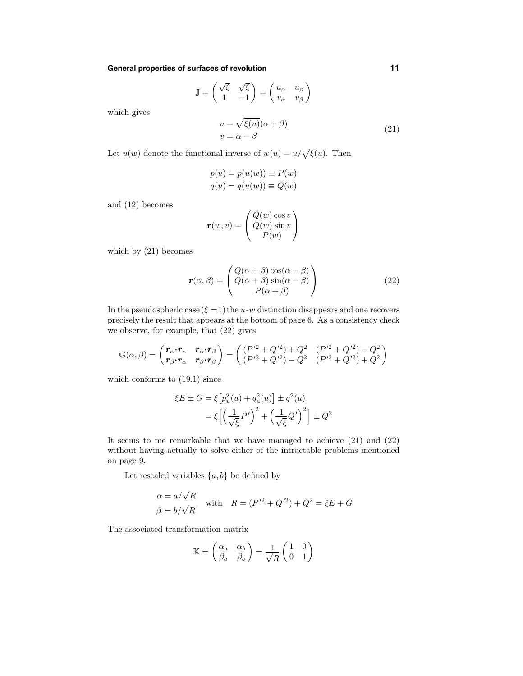$$
\mathbb{J} = \begin{pmatrix} \sqrt{\xi} & \sqrt{\xi} \\ 1 & -1 \end{pmatrix} = \begin{pmatrix} u_{\alpha} & u_{\beta} \\ v_{\alpha} & v_{\beta} \end{pmatrix}
$$

which gives

$$
u = \sqrt{\xi(u)}(\alpha + \beta)
$$
  
\n
$$
v = \alpha - \beta
$$
\n(21)

Let  $u(w)$  denote the functional inverse of  $w(u) = u/\sqrt{\xi(u)}$ . Then

$$
p(u) = p(u(w)) \equiv P(w)
$$
  

$$
q(u) = q(u(w)) \equiv Q(w)
$$

and (12) becomes

$$
\boldsymbol{r}(w,v) = \begin{pmatrix} Q(w)\cos v \\ Q(w)\sin v \\ P(w) \end{pmatrix}
$$

which by (21) becomes

$$
\mathbf{r}(\alpha,\beta) = \begin{pmatrix} Q(\alpha+\beta)\cos(\alpha-\beta) \\ Q(\alpha+\beta)\sin(\alpha-\beta) \\ P(\alpha+\beta) \end{pmatrix}
$$
(22)

In the pseudospheric case  $(\xi = 1)$  the u-w distinction disappears and one recovers precisely the result that appears at the bottom of page 6. As a consistency check we observe, for example, that (22) gives

$$
\mathbb{G}(\alpha,\beta)=\begin{pmatrix} \bm{r}_{\alpha}\!\boldsymbol{\cdot}\!\bm{r}_{\alpha} & \bm{r}_{\alpha}\!\boldsymbol{\cdot\!}\!\bm{r}_{\beta} \\ \bm{r}_{\beta}\!\boldsymbol{\cdot}\!\bm{r}_{\alpha} & \bm{r}_{\beta}\!\boldsymbol{\cdot\!}\!\bm{r}_{\beta} \end{pmatrix}=\begin{pmatrix} (P'^2+Q'^2)+Q^2 & (P'^2+Q'^2)-Q^2 \\ (P'^2+Q'^2)-Q^2 & (P'^2+Q'^2)+Q^2 \end{pmatrix}
$$

which conforms to (19.1) since

$$
\xi E \pm G = \xi \left[ p_u^2(u) + q_u^2(u) \right] \pm q^2(u)
$$

$$
= \xi \left[ \left( \frac{1}{\sqrt{\xi}} P' \right)^2 + \left( \frac{1}{\sqrt{\xi}} Q' \right)^2 \right] \pm Q^2
$$

It seems to me remarkable that we have managed to achieve (21) and (22) without having actually to solve either of the intractable problems mentioned on page 9.

Let rescaled variables  $\{a, b\}$  be defined by

$$
\alpha = a/\sqrt{R}
$$
  
with 
$$
R = (P'^2 + Q'^2) + Q^2 = \xi E + G
$$
  

$$
\beta = b/\sqrt{R}
$$

The associated transformation matrix

$$
\mathbb{K} = \begin{pmatrix} \alpha_a & \alpha_b \\ \beta_a & \beta_b \end{pmatrix} = \frac{1}{\sqrt{R}} \begin{pmatrix} 1 & 0 \\ 0 & 1 \end{pmatrix}
$$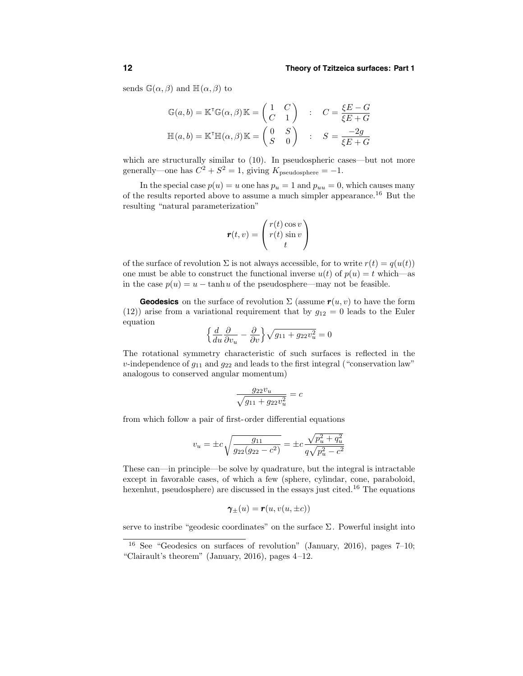sends  $\mathbb{G}(\alpha,\beta)$  and  $\mathbb{H}(\alpha,\beta)$  to

$$
\mathbb{G}(a, b) = \mathbb{K}^{\mathsf{T}} \mathbb{G}(\alpha, \beta) \mathbb{K} = \begin{pmatrix} 1 & C \\ C & 1 \end{pmatrix} : C = \frac{\xi E - G}{\xi E + G}
$$

$$
\mathbb{H}(a, b) = \mathbb{K}^{\mathsf{T}} \mathbb{H}(\alpha, \beta) \mathbb{K} = \begin{pmatrix} 0 & S \\ S & 0 \end{pmatrix} : S = \frac{-2g}{\xi E + G}
$$

which are structurally similar to  $(10)$ . In pseudospheric cases—but not more generally—one has  $C^2 + S^2 = 1$ , giving  $K_{\text{pseudosphere}} = -1$ .

In the special case  $p(u) = u$  one has  $p_u = 1$  and  $p_{uu} = 0$ , which causes many of the results reported above to assume a much simpler appearance.<sup>16</sup> But the resulting "natural parameterization"

$$
\mathbf{r}(t,v) = \begin{pmatrix} r(t)\cos v \\ r(t)\sin v \\ t \end{pmatrix}
$$

of the surface of revolution  $\Sigma$  is not always accessible, for to write  $r(t) = q(u(t))$ one must be able to construct the functional inverse  $u(t)$  of  $p(u) = t$  which—as in the case  $p(u) = u - \tanh u$  of the pseudosphere—may not be feasible.

**Geodesics** on the surface of revolution  $\Sigma$  (assume  $r(u, v)$  to have the form (12)) arise from a variational requirement that by  $g_{12} = 0$  leads to the Euler equation

$$
\left\{\frac{d}{du}\frac{\partial}{\partial v_u} - \frac{\partial}{\partial v}\right\}\sqrt{g_{11} + g_{22}v_u^2} = 0
$$

The rotational symmetry characteristic of such surfaces is reflected in the v-independence of  $g_{11}$  and  $g_{22}$  and leads to the first integral ("conservation law" analogous to conserved angular momentum)

$$
\frac{g_{22}v_u}{\sqrt{g_{11} + g_{22}v_u^2}} = c
$$

from which follow a pair of first-order differential equations

$$
v_u = \pm c \sqrt{\frac{g_{11}}{g_{22}(g_{22} - c^2)}} = \pm c \frac{\sqrt{p_u^2 + q_u^2}}{q\sqrt{p_u^2 - c^2}}
$$

These can—in principle—be solve by quadrature, but the integral is intractable except in favorable cases, of which a few (sphere, cylindar, cone, paraboloid, hexenhut, pseudosphere) are discussed in the essays just cited.<sup>16</sup> The equations

$$
\pmb{\gamma}_{\pm}(u) = \pmb{r}(u, v(u, \pm c))
$$

serve to instribe "geodesic coordinates" on the surface  $\Sigma$ . Powerful insight into

<sup>&</sup>lt;sup>16</sup> See "Geodesics on surfaces of revolution" (January, 2016), pages  $7-10$ ; "Clairault's theorem" (January, 2016), pages 4–12.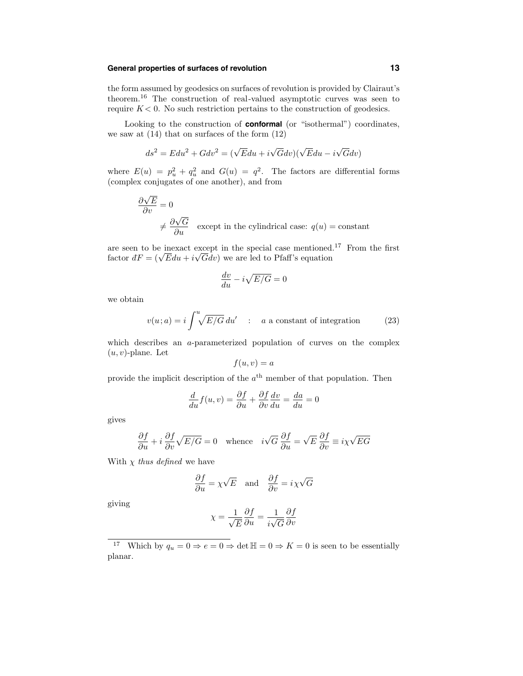the form assumed by geodesics on surfaces of revolution is provided by Clairaut's theorem.<sup>16</sup> The construction of real-valued asymptotic curves was seen to require  $K < 0$ . No such restriction pertains to the construction of geodesics.

Looking to the construction of **conformal** (or "isothermal") coordinates, we saw at  $(14)$  that on surfaces of the form  $(12)$ 

$$
ds^{2} = E du^{2} + G dv^{2} = (\sqrt{E} du + i \sqrt{G} dv)(\sqrt{E} du - i \sqrt{G} dv)
$$

where  $E(u) = p_u^2 + q_u^2$  and  $G(u) = q^2$ . The factors are differential forms (complex conjugates of one another), and from

$$
\frac{\partial \sqrt{E}}{\partial v} = 0
$$
  
 $\neq \frac{\partial \sqrt{G}}{\partial u}$  except in the cylindrical case:  $q(u) = \text{constant}$ 

are seen to be inexact except in the special case mentioned.<sup>17</sup> From the first factor  $dF = (\sqrt{E}du + i\sqrt{G}dv)$  we are led to Pfaff's equation

$$
\frac{dv}{du} - i\sqrt{E/G} = 0
$$

we obtain

$$
v(u; a) = i \int_{-\infty}^{u} \sqrt{E/G} \, du' \quad : \quad a \text{ a constant of integration} \tag{23}
$$

which describes an a-parameterized population of curves on the complex  $(u, v)$ -plane. Let

$$
f(u,v) = a
$$

provide the implicit description of the  $a<sup>th</sup>$  member of that population. Then

$$
\frac{d}{du}f(u,v) = \frac{\partial f}{\partial u} + \frac{\partial f}{\partial v}\frac{dv}{du} = \frac{da}{du} = 0
$$

gives

$$
\frac{\partial f}{\partial u} + i \frac{\partial f}{\partial v} \sqrt{E/G} = 0 \quad \text{whence} \quad i\sqrt{G} \frac{\partial f}{\partial u} = \sqrt{E} \frac{\partial f}{\partial v} \equiv i\chi \sqrt{EG}
$$

With  $\chi$  thus defined we have

$$
\frac{\partial f}{\partial u} = \chi \sqrt{E} \quad \text{and} \quad \frac{\partial f}{\partial v} = i \chi \sqrt{G}
$$

giving

$$
\chi = \frac{1}{\sqrt{E}} \frac{\partial f}{\partial u} = \frac{1}{i\sqrt{G}} \frac{\partial f}{\partial v}
$$

<sup>&</sup>lt;sup>17</sup> Which by  $q_u = 0 \Rightarrow e = 0 \Rightarrow \det \mathbb{H} = 0 \Rightarrow K = 0$  is seen to be essentially planar.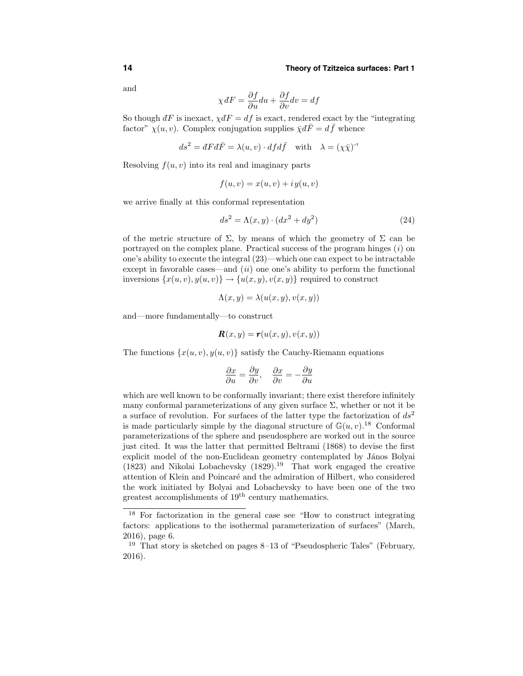and

$$
\chi dF = \frac{\partial f}{\partial u} du + \frac{\partial f}{\partial v} dv = df
$$

So though  $dF$  is inexact,  $\chi dF = df$  is exact, rendered exact by the "integrating" factor"  $\chi(u, v)$ . Complex conjugation supplies  $\bar{\chi} d\bar{F} = d\bar{f}$  whence

$$
ds^2 = dF d\bar{F} = \lambda(u, v) \cdot d f d\bar{f} \quad \text{with} \quad \lambda = (\chi \bar{\chi})^{-1}
$$

Resolving  $f(u, v)$  into its real and imaginary parts

$$
f(u, v) = x(u, v) + iy(u, v)
$$

we arrive finally at this conformal representation

$$
ds^2 = \Lambda(x, y) \cdot (dx^2 + dy^2)
$$
 (24)

of the metric structure of  $\Sigma$ , by means of which the geometry of  $\Sigma$  can be portrayed on the complex plane. Practical success of the program hinges  $(i)$  on one's ability to execute the integral (23)—which one can expect to be intractable except in favorable cases—and  $(ii)$  one one's ability to perform the functional inversions  $\{x(u, v), y(u, v)\}\rightarrow \{u(x, y), v(x, y)\}\$  required to construct

$$
\Lambda(x, y) = \lambda(u(x, y), v(x, y))
$$

and—more fundamentally—to construct

$$
\mathbf{R}(x,y) = \mathbf{r}(u(x,y),v(x,y))
$$

The functions  $\{x(u, v), y(u, v)\}$  satisfy the Cauchy-Riemann equations

$$
\frac{\partial x}{\partial u} = \frac{\partial y}{\partial v}, \quad \frac{\partial x}{\partial v} = -\frac{\partial y}{\partial u}
$$

which are well known to be conformally invariant; there exist therefore infinitely many conformal parameterizations of any given surface  $\Sigma$ , whether or not it be a surface of revolution. For surfaces of the latter type the factorization of  $ds^2$ is made particularly simple by the diagonal structure of  $\mathbb{G}(u, v)$ .<sup>18</sup> Conformal parameterizations of the sphere and pseudosphere are worked out in the source just cited. It was the latter that permitted Beltrami (1868) to devise the first explicit model of the non-Euclidean geometry contemplated by János Bolyai  $(1823)$  and Nikolai Lobachevsky  $(1829)$ .<sup>19</sup> That work engaged the creative attention of Klein and Poincaré and the admiration of Hilbert, who considered the work initiated by Bolyai and Lobachevsky to have been one of the two greatest accomplishments of 19th century mathematics.

<sup>18</sup> For factorization in the general case see "How to construct integrating factors: applications to the isothermal parameterization of surfaces" (March, 2016), page 6.

<sup>&</sup>lt;sup>19</sup> That story is sketched on pages  $8-13$  of "Pseudospheric Tales" (February, 2016).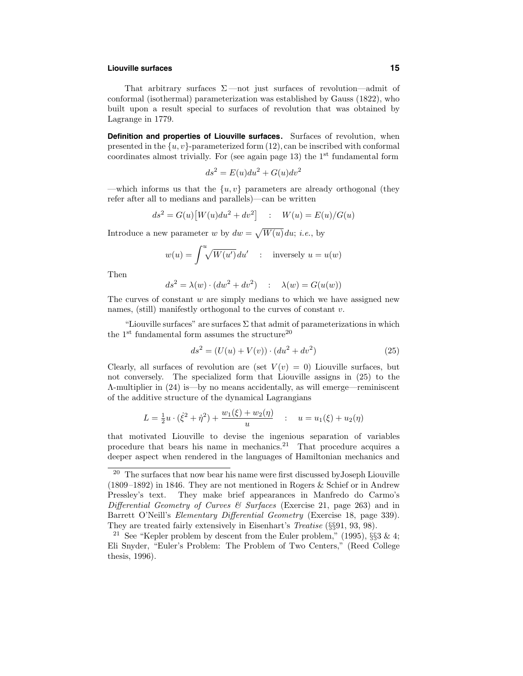#### **Liouville surfaces 15**

That arbitrary surfaces  $\Sigma$  —not just surfaces of revolution—admit of conformal (isothermal) parameterization was established by Gauss (1822), who built upon a result special to surfaces of revolution that was obtained by Lagrange in 1779.

**Definition and properties of Liouville surfaces.** Surfaces of revolution, when presented in the  $\{u, v\}$ -parameterized form  $(12)$ , can be inscribed with conformal coordinates almost trivially. For (see again page 13) the  $1<sup>st</sup>$  fundamental form

$$
ds^2 = E(u)du^2 + G(u)dv^2
$$

—which informs us that the  $\{u, v\}$  parameters are already orthogonal (they refer after all to medians and parallels)—can be written

$$
ds^{2} = G(u)[W(u)du^{2} + dv^{2}] \quad : \quad W(u) = E(u)/G(u)
$$

Introduce a new parameter w by  $dw = \sqrt{W(u)} du$ ; *i.e.*, by

$$
w(u) = \int^u \sqrt{W(u')} du' \quad : \quad \text{inversely } u = u(w)
$$

Then

$$
ds^{2} = \lambda(w) \cdot (dw^{2} + dv^{2}) \quad : \quad \lambda(w) = G(u(w))
$$

The curves of constant  $w$  are simply medians to which we have assigned new names, (still) manifestly orthogonal to the curves of constant  $v$ .

"Liouville surfaces" are surfaces  $\Sigma$  that admit of parameterizations in which the  $1<sup>st</sup>$  fundamental form assumes the structure<sup>20</sup>

$$
ds^{2} = (U(u) + V(v)) \cdot (du^{2} + dv^{2})
$$
\n(25)

Clearly, all surfaces of revolution are (set  $V(v) = 0$ ) Liouville surfaces, but not conversely. The specialized form that Liouville assigns in (25) to the Λ-multiplier in (24) is—by no means accidentally, as will emerge—reminiscent of the additive structure of the dynamical Lagrangians

$$
L = \frac{1}{2}u \cdot (\dot{\xi}^2 + \dot{\eta}^2) + \frac{w_1(\xi) + w_2(\eta)}{u} \quad : \quad u = u_1(\xi) + u_2(\eta)
$$

that motivated Liouville to devise the ingenious separation of variables procedure that bears his name in mechanics.<sup>21</sup> That procedure acquires a deeper aspect when rendered in the languages of Hamiltonian mechanics and

 $20$  The surfaces that now bear his name were first discussed by Joseph Liouville (1809–1892) in 1846. They are not mentioned in Rogers & Schief or in Andrew Pressley's text. They make brief appearances in Manfredo do Carmo's Differential Geometry of Curves  $\mathcal{B}$  Surfaces (Exercise 21, page 263) and in Barrett O'Neill's Elementary Differential Geometry (Exercise 18, page 339). They are treated fairly extensively in Eisenhart's Treatise (§§91, 93, 98).

<sup>&</sup>lt;sup>21</sup> See "Kepler problem by descent from the Euler problem," (1995),  $\S$ §3 & 4; Eli Snyder, "Euler's Problem: The Problem of Two Centers," (Reed College thesis, 1996).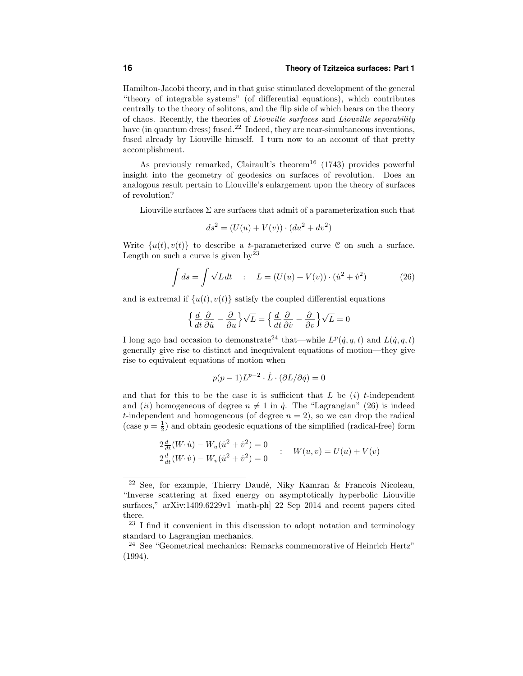Hamilton-Jacobi theory, and in that guise stimulated development of the general "theory of integrable systems" (of differential equations), which contributes centrally to the theory of solitons, and the flip side of which bears on the theory of chaos. Recently, the theories of Liouville surfaces and Liouville separability have (in quantum dress) fused.<sup>22</sup> Indeed, they are near-simultaneous inventions, fused already by Liouville himself. I turn now to an account of that pretty accomplishment.

As previously remarked, Clairault's theorem<sup>16</sup> (1743) provides powerful insight into the geometry of geodesics on surfaces of revolution. Does an analogous result pertain to Liouville's enlargement upon the theory of surfaces of revolution?

Liouville surfaces  $\Sigma$  are surfaces that admit of a parameterization such that

$$
ds^{2} = (U(u) + V(v)) \cdot (du^{2} + dv^{2})
$$

Write  $\{u(t), v(t)\}\)$  to describe a *t*-parameterized curve C on such a surface. Length on such a curve is given  $by^{23}$ 

$$
\int ds = \int \sqrt{L} dt \quad : \quad L = (U(u) + V(v)) \cdot (\dot{u}^2 + \dot{v}^2) \tag{26}
$$

and is extremal if  $\{u(t), v(t)\}\$  satisfy the coupled differential equations

$$
\left\{\frac{d}{dt}\frac{\partial}{\partial\dot{u}} - \frac{\partial}{\partial u}\right\}\sqrt{L} = \left\{\frac{d}{dt}\frac{\partial}{\partial\dot{v}} - \frac{\partial}{\partial v}\right\}\sqrt{L} = 0
$$

I long ago had occasion to demonstrate<sup>24</sup> that—while  $L^p(q, q, t)$  and  $L(q, q, t)$ generally give rise to distinct and inequivalent equations of motion—they give rise to equivalent equations of motion when

$$
p(p-1)L^{p-2}\cdot \dot L\cdot (\partial L/\partial \dot q)=0
$$

and that for this to be the case it is sufficient that  $L$  be  $(i)$  t-independent and (ii) homogeneous of degree  $n \neq 1$  in  $\dot{q}$ . The "Lagrangian" (26) is indeed t-independent and homogeneous (of degree  $n = 2$ ), so we can drop the radical (case  $p = \frac{1}{2}$ ) and obtain geodesic equations of the simplified (radical-free) form

$$
2\frac{d}{dt}(W\cdot\dot{u}) - W_u(\dot{u}^2 + \dot{v}^2) = 0
$$
  
\n
$$
2\frac{d}{dt}(W\cdot\dot{v}) - W_v(\dot{u}^2 + \dot{v}^2) = 0
$$
  
\n
$$
W(u, v) = U(u) + V(v)
$$

 $22$  See, for example, Thierry Daudé, Niky Kamran & Francois Nicoleau, "Inverse scattering at fixed energy on asymptotically hyperbolic Liouville surfaces," arXiv:1409.6229v1 [math-ph] 22 Sep 2014 and recent papers cited there.

 $23$  I find it convenient in this discussion to adopt notation and terminology standard to Lagrangian mechanics.

<sup>24</sup> See "Geometrical mechanics: Remarks commemorative of Heinrich Hertz" (1994).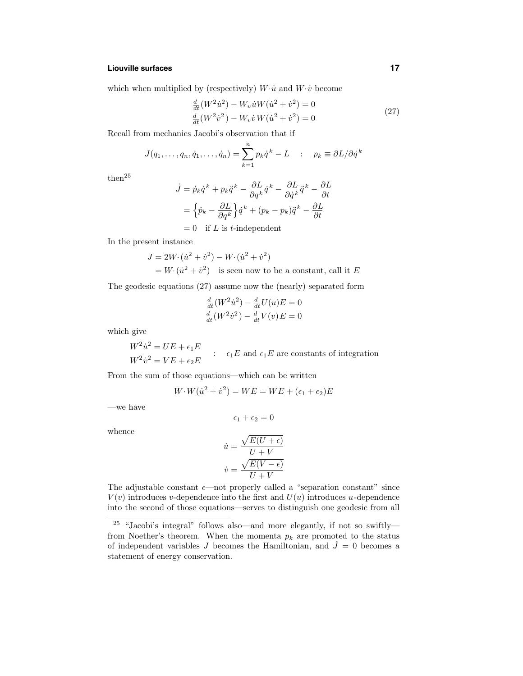# **Liouville surfaces 17**

which when multiplied by (respectively)  $W\cdotp\dot{u}$  and  $W\cdotp\dot{v}$  become

$$
\frac{d}{dt}(W^2\dot{u}^2) - W_u\dot{u}W(\dot{u}^2 + \dot{v}^2) = 0
$$
\n
$$
\frac{d}{dt}(W^2\dot{v}^2) - W_v\dot{v}W(\dot{u}^2 + \dot{v}^2) = 0
$$
\n(27)

Recall from mechanics Jacobi's observation that if

$$
J(q_1,\ldots,q_n,\dot{q}_1,\ldots,\dot{q}_n) = \sum_{k=1}^n p_k \dot{q}^k - L \quad : \quad p_k \equiv \partial L / \partial \dot{q}^k
$$

 ${\rm then}^{25}$ 

$$
\dot{J} = \dot{p}_k \dot{q}^k + p_k \ddot{q}^k - \frac{\partial L}{\partial q^k} \dot{q}^k - \frac{\partial L}{\partial \dot{q}^k} \ddot{q}^k - \frac{\partial L}{\partial t}
$$

$$
= \left\{ \dot{p}_k - \frac{\partial L}{\partial q^k} \right\} \dot{q}^k + (p_k - p_k) \ddot{q}^k - \frac{\partial L}{\partial t}
$$

$$
= 0 \quad \text{if } L \text{ is } t \text{-independent}
$$

In the present instance

$$
J = 2W \cdot (\dot{u}^2 + \dot{v}^2) - W \cdot (\dot{u}^2 + \dot{v}^2)
$$
  
=  $W \cdot (\dot{u}^2 + \dot{v}^2)$  is seen now to be a constant, call it E

The geodesic equations (27) assume now the (nearly) separated form

$$
\frac{\frac{d}{dt}(W^2\dot{u}^2) - \frac{d}{dt}U(u)E = 0}{\frac{d}{dt}(W^2\dot{v}^2) - \frac{d}{dt}V(v)E = 0}
$$

which give

$$
W^2 \dot{u}^2 = UE + \epsilon_1 E
$$
  

$$
W^2 \dot{v}^2 = VE + \epsilon_2 E
$$
  

$$
\vdots
$$
 
$$
\epsilon_1 E \text{ and } \epsilon_1 E \text{ are constants of integration}
$$

From the sum of those equations—which can be written

$$
W \cdot W(\dot{u}^2 + \dot{v}^2) = WE = WE + (\epsilon_1 + \epsilon_2)E
$$

 $\overline{0}$ 

—we have

$$
\epsilon_1+\epsilon_2=
$$

whence

$$
\dot{u} = \frac{\sqrt{E(U + \epsilon)}}{U + V}
$$

$$
\dot{v} = \frac{\sqrt{E(V - \epsilon)}}{U + V}
$$

The adjustable constant  $\epsilon$ —not properly called a "separation constant" since  $V(v)$  introduces v-dependence into the first and  $U(u)$  introduces u-dependence into the second of those equations—serves to distinguish one geodesic from all

<sup>&</sup>lt;sup>25</sup> "Jacobi's integral" follows also—and more elegantly, if not so swiftly from Noether's theorem. When the momenta  $p_k$  are promoted to the status of independent variables J becomes the Hamiltonian, and  $\dot{J}=0$  becomes a statement of energy conservation.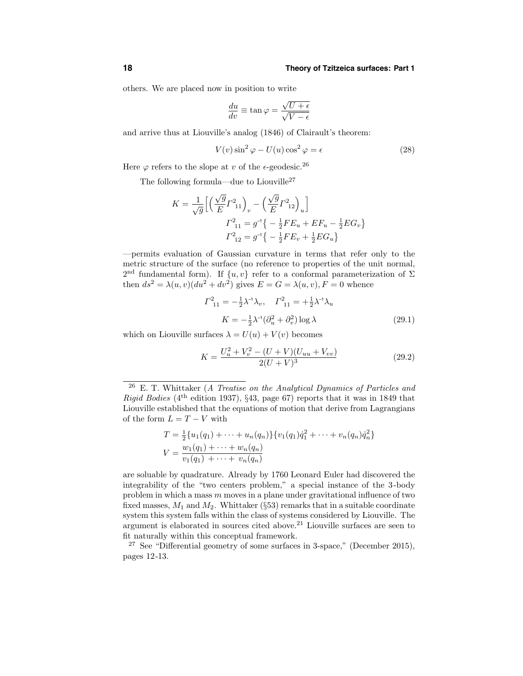others. We are placed now in position to write

$$
\frac{du}{dv} \equiv \tan \varphi = \frac{\sqrt{U + \epsilon}}{\sqrt{V - \epsilon}}
$$

and arrive thus at Liouville's analog (1846) of Clairault's theorem:

$$
V(v)\sin^2\varphi - U(u)\cos^2\varphi = \epsilon
$$
 (28)

Here  $\varphi$  refers to the slope at v of the  $\epsilon$ -geodesic.<sup>26</sup>

The following formula—due to Liouville<sup>27</sup>

$$
K = \frac{1}{\sqrt{g}} \Big[ \Big( \frac{\sqrt{g}}{E} \Gamma_{11}^2 \Big)_v - \Big( \frac{\sqrt{g}}{E} \Gamma_{12}^2 \Big)_u \Big]
$$
  

$$
\Gamma_{11}^2 = g^{-1} \Big\{ -\frac{1}{2} F E_u + E F_u - \frac{1}{2} E G_v \Big\}
$$
  

$$
\Gamma_{12}^2 = g^{-1} \Big\{ -\frac{1}{2} F E_v + \frac{1}{2} E G_u \Big\}
$$

—permits evaluation of Gaussian curvature in terms that refer only to the metric structure of the surface (no reference to properties of the unit normal, 2<sup>nd</sup> fundamental form). If  $\{u, v\}$  refer to a conformal parameterization of  $\Sigma$ then  $ds^2 = \lambda(u, v)(du^2 + dv^2)$  gives  $E = G = \lambda(u, v)$ ,  $F = 0$  whence

$$
\Gamma_{11}^{2} = -\frac{1}{2}\lambda^{-1}\lambda_{v}, \quad \Gamma_{11}^{2} = +\frac{1}{2}\lambda^{-1}\lambda_{u}
$$

$$
K = -\frac{1}{2}\lambda^{-1}(\partial_{u}^{2} + \partial_{v}^{2})\log\lambda
$$
(29.1)

which on Liouville surfaces  $\lambda = U(u) + V(v)$  becomes

$$
K = \frac{U_u^2 + V_v^2 - (U + V)(U_{uu} + V_{vv})}{2(U + V)^3}
$$
\n(29.2)

 $26$  E. T. Whittaker (A Treatise on the Analytical Dynamics of Particles and *Rigid Bodies* ( $4<sup>th</sup>$  edition 1937), §43, page 67) reports that it was in 1849 that Liouville established that the equations of motion that derive from Lagrangians of the form  $L = T - V$  with

$$
T = \frac{1}{2} \{ u_1(q_1) + \dots + u_n(q_n) \} \{ v_1(q_1) \dot{q}_1^2 + \dots + v_n(q_n) \dot{q}_n^2 \}
$$
  

$$
V = \frac{w_1(q_1) + \dots + w_n(q_n)}{v_1(q_1) + \dots + v_n(q_n)}
$$

are soluable by quadrature. Already by 1760 Leonard Euler had discovered the integrability of the "two centers problem," a special instance of the 3-body problem in which a mass  $m$  moves in a plane under gravitational influence of two fixed masses,  $M_1$  and  $M_2$ . Whittaker (§53) remarks that in a suitable coordinate system this system falls within the class of systems considered by Liouville. The argument is elaborated in sources cited above. <sup>21</sup> Liouville surfaces are seen to fit naturally within this conceptual framework.

<sup>27</sup> See "Differential geometry of some surfaces in 3-space," (December 2015), pages 12-13.